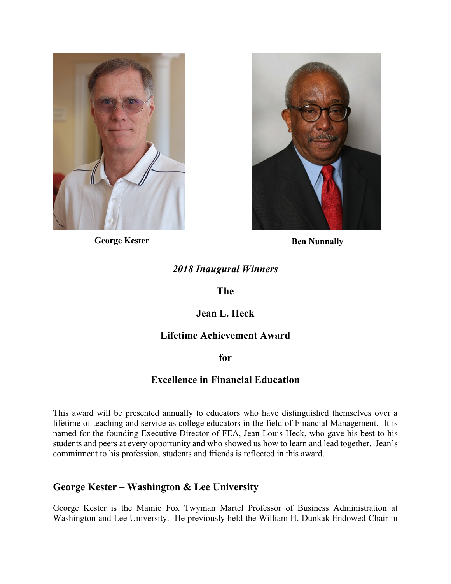



**George Kester Ben Nunnally** 

# *2018 Inaugural Winners*

#### **The**

# **Jean L. Heck**

### **Lifetime Achievement Award**

**for** 

### **Excellence in Financial Education**

This award will be presented annually to educators who have distinguished themselves over a lifetime of teaching and service as college educators in the field of Financial Management. It is named for the founding Executive Director of FEA, Jean Louis Heck, who gave his best to his students and peers at every opportunity and who showed us how to learn and lead together. Jean's commitment to his profession, students and friends is reflected in this award.

### **George Kester – Washington & Lee University**

George Kester is the Mamie Fox Twyman Martel Professor of Business Administration at Washington and Lee University. He previously held the William H. Dunkak Endowed Chair in